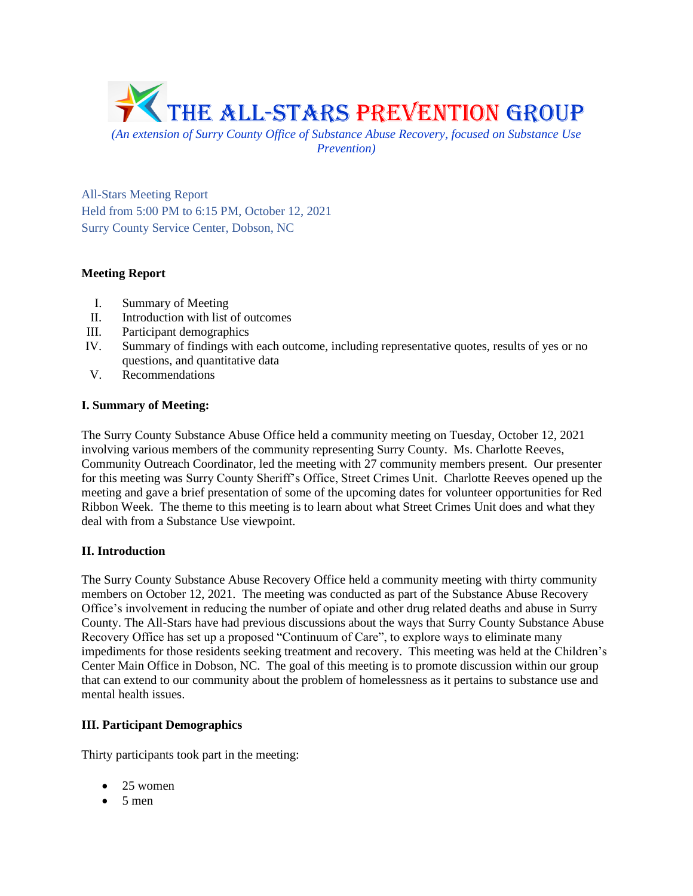

*Prevention)*

All-Stars Meeting Report Held from 5:00 PM to 6:15 PM, October 12, 2021 Surry County Service Center, Dobson, NC

# **Meeting Report**

- I. Summary of Meeting
- II. Introduction with list of outcomes
- III. Participant demographics
- IV. Summary of findings with each outcome, including representative quotes, results of yes or no questions, and quantitative data
- V. Recommendations

# **I. Summary of Meeting:**

The Surry County Substance Abuse Office held a community meeting on Tuesday, October 12, 2021 involving various members of the community representing Surry County. Ms. Charlotte Reeves, Community Outreach Coordinator, led the meeting with 27 community members present. Our presenter for this meeting was Surry County Sheriff's Office, Street Crimes Unit. Charlotte Reeves opened up the meeting and gave a brief presentation of some of the upcoming dates for volunteer opportunities for Red Ribbon Week. The theme to this meeting is to learn about what Street Crimes Unit does and what they deal with from a Substance Use viewpoint.

# **II. Introduction**

The Surry County Substance Abuse Recovery Office held a community meeting with thirty community members on October 12, 2021. The meeting was conducted as part of the Substance Abuse Recovery Office's involvement in reducing the number of opiate and other drug related deaths and abuse in Surry County. The All-Stars have had previous discussions about the ways that Surry County Substance Abuse Recovery Office has set up a proposed "Continuum of Care", to explore ways to eliminate many impediments for those residents seeking treatment and recovery. This meeting was held at the Children's Center Main Office in Dobson, NC. The goal of this meeting is to promote discussion within our group that can extend to our community about the problem of homelessness as it pertains to substance use and mental health issues.

# **III. Participant Demographics**

Thirty participants took part in the meeting:

- 25 women
- $5$  men